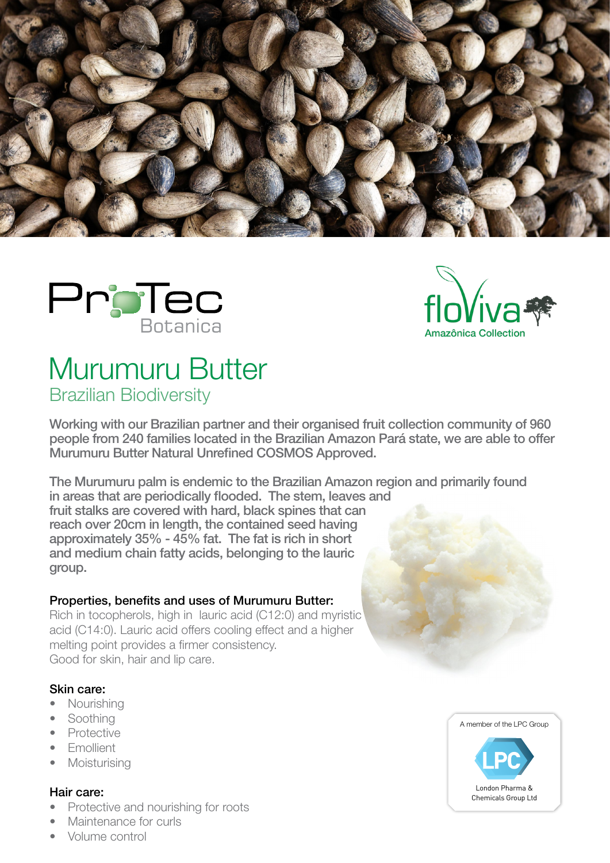





# Murumuru Butter Brazilian Biodiversity

Working with our Brazilian partner and their organised fruit collection community of 960 people from 240 families located in the Brazilian Amazon Pará state, we are able to offer Murumuru Butter Natural Unrefined COSMOS Approved.

The Murumuru palm is endemic to the Brazilian Amazon region and primarily found in areas that are periodically flooded. The stem, leaves and fruit stalks are covered with hard, black spines that can reach over 20cm in length, the contained seed having approximately 35% - 45% fat. The fat is rich in short and medium chain fatty acids, belonging to the lauric group.

### Properties, benefits and uses of Murumuru Butter:

Rich in tocopherols, high in lauric acid (C12:0) and myristic acid (C14:0). Lauric acid offers cooling effect and a higher melting point provides a firmer consistency. Good for skin, hair and lip care.

#### Skin care:

- Nourishing
- Soothing
- **Protective**
- Emollient
- **Moisturising**

#### Hair care:

- Protective and nourishing for roots
- Maintenance for curls
- Volume control